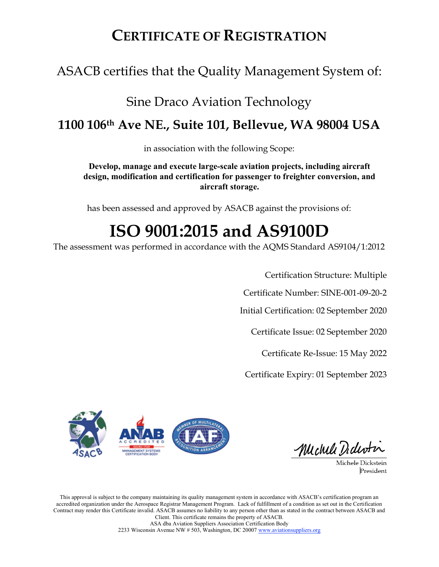## CERTIFICATE OF REGISTRATION

## ASACB certifies that the Quality Management System of:

## Sine Draco Aviation Technology 1100 106th Ave NE., Suite 101, Bellevue, WA 98004 USA

in association with the following Scope:

Develop, manage and execute large-scale aviation projects, including aircraft design, modification and certification for passenger to freighter conversion, and aircraft storage.

has been assessed and approved by ASACB against the provisions of:

# ISO 9001:2015 and AS9100D

The assessment was performed in accordance with the AQMS Standard AS9104/1:2012

Certification Structure: Multiple

Certificate Number: SINE-001-09-20-2

Initial Certification: 02 September 2020

Certificate Issue: 02 September 2020

Certificate Re-Issue: 15 May 2022

Certificate Expiry: 01 September 2023



Michell Dident

Michele Dickstein President

This approval is subject to the company maintaining its quality management system in accordance with ASACB's certification program an accredited organization under the Aerospace Registrar Management Program. Lack of fulfillment of a condition as set out in the Certification Contract may render this Certificate invalid. ASACB assumes no liability to any person other than as stated in the contract between ASACB and Client. This certificate remains the property of ASACB.

ASA dba Aviation Suppliers Association Certification Body 2233 Wisconsin Avenue NW # 503, Washington, DC 20007 www.aviationsuppliers.org